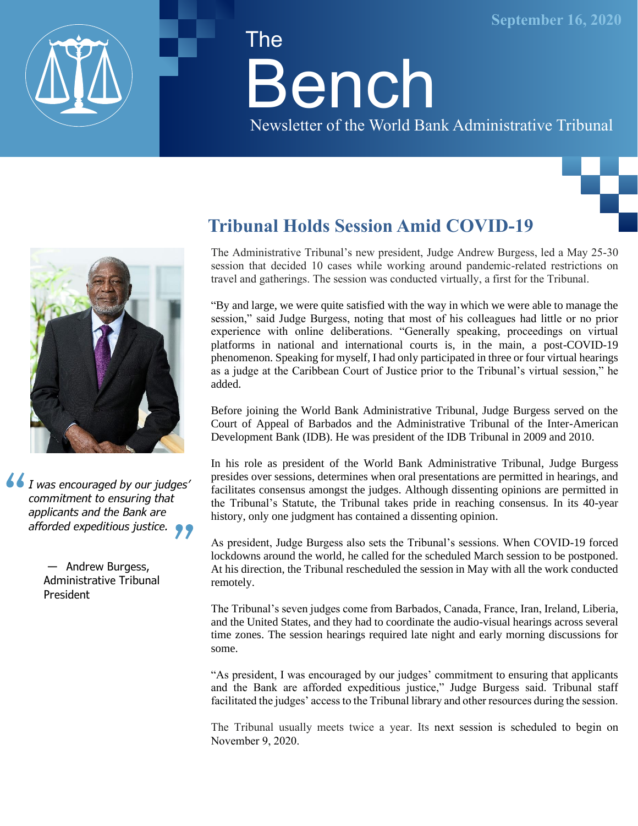

# The Bench

Newsletter of the World Bank Administrative Tribunal





*I was encouraged by our judges' commitment to ensuring that applicants and the Bank are afforded expeditious justice.*

> — Andrew Burgess, Administrative Tribunal President

## **Tribunal Holds Session Amid COVID-19**

The Administrative Tribunal's new president, Judge Andrew Burgess, led a May 25-30 session that decided 10 cases while working around pandemic-related restrictions on travel and gatherings. The session was conducted virtually, a first for the Tribunal.

"By and large, we were quite satisfied with the way in which we were able to manage the session," said Judge Burgess, noting that most of his colleagues had little or no prior experience with online deliberations. "Generally speaking, proceedings on virtual platforms in national and international courts is, in the main, a post-COVID-19 phenomenon. Speaking for myself, I had only participated in three or four virtual hearings as a judge at the Caribbean Court of Justice prior to the Tribunal's virtual session," he added.

Before joining the World Bank Administrative Tribunal, Judge Burgess served on the Court of Appeal of Barbados and the Administrative Tribunal of the Inter-American Development Bank (IDB). He was president of the IDB Tribunal in 2009 and 2010.

In his role as president of the World Bank Administrative Tribunal, Judge Burgess presides over sessions, determines when oral presentations are permitted in hearings, and facilitates consensus amongst the judges. Although dissenting opinions are permitted in the Tribunal's Statute, the Tribunal takes pride in reaching consensus. In its 40-year history, only one judgment has contained a dissenting opinion.

As president, Judge Burgess also sets the Tribunal's sessions. When COVID-19 forced lockdowns around the world, he called for the scheduled March session to be postponed. At his direction, the Tribunal rescheduled the session in May with all the work conducted remotely.

The Tribunal's seven judges come from Barbados, Canada, France, Iran, Ireland, Liberia, and the United States, and they had to coordinate the audio-visual hearings across several time zones. The session hearings required late night and early morning discussions for some.

"As president, I was encouraged by our judges' commitment to ensuring that applicants and the Bank are afforded expeditious justice," Judge Burgess said. Tribunal staff facilitated the judges' access to the Tribunal library and other resources during the session.

The Tribunal usually meets twice a year. Its next session is scheduled to begin on November 9, 2020.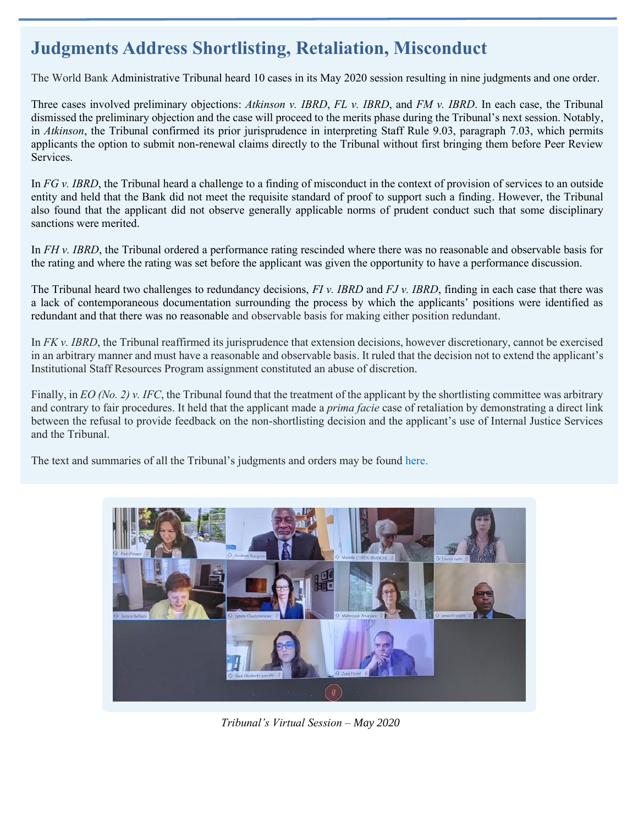## **Judgments Address Shortlisting, Retaliation, Misconduct**

The World Bank Administrative Tribunal heard 10 cases in its May 2020 session resulting in nine judgments and one order.

Three cases involved preliminary objections: *Atkinson v. IBRD*, *FL v. IBRD*, and *FM v. IBRD*. In each case, the Tribunal dismissed the preliminary objection and the case will proceed to the merits phase during the Tribunal's next session. Notably, in *Atkinson*, the Tribunal confirmed its prior jurisprudence in interpreting Staff Rule 9.03, paragraph 7.03, which permits applicants the option to submit non-renewal claims directly to the Tribunal without first bringing them before Peer Review Services.

In *FG v. IBRD*, the Tribunal heard a challenge to a finding of misconduct in the context of provision of services to an outside entity and held that the Bank did not meet the requisite standard of proof to support such a finding. However, the Tribunal also found that the applicant did not observe generally applicable norms of prudent conduct such that some disciplinary sanctions were merited.

In *FH v. IBRD*, the Tribunal ordered a performance rating rescinded where there was no reasonable and observable basis for the rating and where the rating was set before the applicant was given the opportunity to have a performance discussion.

The Tribunal heard two challenges to redundancy decisions, *FI v. IBRD* and *FJ v. IBRD*, finding in each case that there was a lack of contemporaneous documentation surrounding the process by which the applicants' positions were identified as redundant and that there was no reasonable and observable basis for making either position redundant.

In *FK v. IBRD*, the Tribunal reaffirmed its jurisprudence that extension decisions, however discretionary, cannot be exercised in an arbitrary manner and must have a reasonable and observable basis. It ruled that the decision not to extend the applicant's Institutional Staff Resources Program assignment constituted an abuse of discretion.

Finally, in *EO* (No. 2) v. IFC, the Tribunal found that the treatment of the applicant by the shortlisting committee was arbitrary and contrary to fair procedures. It held that the applicant made a *prima facie* case of retaliation by demonstrating a direct link between the refusal to provide feedback on the non-shortlisting decision and the applicant's use of Internal Justice Services and the Tribunal.

The text and summaries of all the Tribunal's judgments and orders may be found [here.](https://tribunal.worldbank.org/judgments-orders)



*Tribunal's Virtual Session – May 2020*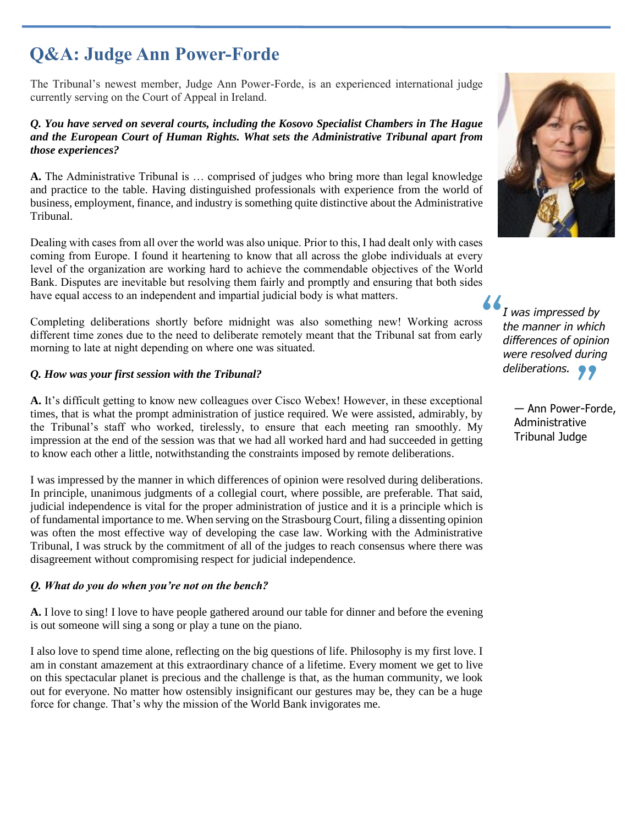## **Q&A: Judge Ann Power-Forde**

The Tribunal's newest member, Judge Ann Power-Forde, is an experienced international judge currently serving on the Court of Appeal in Ireland.

#### *Q. You have served on several courts, including the Kosovo Specialist Chambers in The Hague and the European Court of Human Rights. What sets the Administrative Tribunal apart from those experiences?*

**A.** The Administrative Tribunal is … comprised of judges who bring more than legal knowledge and practice to the table. Having distinguished professionals with experience from the world of business, employment, finance, and industry is something quite distinctive about the Administrative Tribunal.

Dealing with cases from all over the world was also unique. Prior to this, I had dealt only with cases coming from Europe. I found it heartening to know that all across the globe individuals at every level of the organization are working hard to achieve the commendable objectives of the World Bank. Disputes are inevitable but resolving them fairly and promptly and ensuring that both sides have equal access to an independent and impartial judicial body is what matters.

Completing deliberations shortly before midnight was also something new! Working across different time zones due to the need to deliberate remotely meant that the Tribunal sat from early morning to late at night depending on where one was situated.

#### *Q. How was your first session with the Tribunal?*

**A.** It's difficult getting to know new colleagues over Cisco Webex! However, in these exceptional times, that is what the prompt administration of justice required. We were assisted, admirably, by the Tribunal's staff who worked, tirelessly, to ensure that each meeting ran smoothly. My impression at the end of the session was that we had all worked hard and had succeeded in getting to know each other a little, notwithstanding the constraints imposed by remote deliberations.

I was impressed by the manner in which differences of opinion were resolved during deliberations. In principle, unanimous judgments of a collegial court, where possible, are preferable. That said, judicial independence is vital for the proper administration of justice and it is a principle which is of fundamental importance to me. When serving on the Strasbourg Court, filing a dissenting opinion was often the most effective way of developing the case law. Working with the Administrative Tribunal, I was struck by the commitment of all of the judges to reach consensus where there was disagreement without compromising respect for judicial independence.

#### *Q. What do you do when you're not on the bench?*

**A.** I love to sing! I love to have people gathered around our table for dinner and before the evening is out someone will sing a song or play a tune on the piano.

I also love to spend time alone, reflecting on the big questions of life. Philosophy is my first love. I am in constant amazement at this extraordinary chance of a lifetime. Every moment we get to live on this spectacular planet is precious and the challenge is that, as the human community, we look out for everyone. No matter how ostensibly insignificant our gestures may be, they can be a huge force for change. That's why the mission of the World Bank invigorates me.



*I was impressed by the manner in which differences of opinion were resolved during deliberations.*

> — Ann Power-Forde, Administrative Tribunal Judge